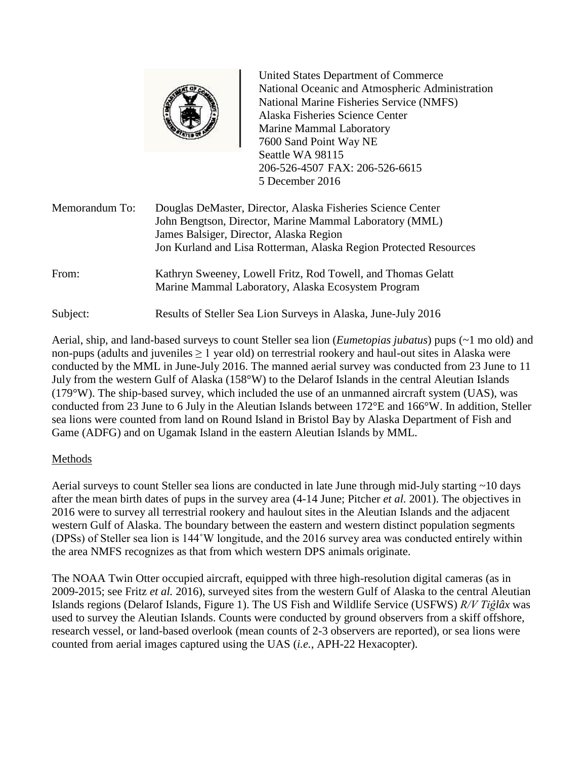

United States Department of Commerce National Oceanic and Atmospheric Administration National Marine Fisheries Service (NMFS) Alaska Fisheries Science Center Marine Mammal Laboratory 7600 Sand Point Way NE Seattle WA 98115 206-526-4507 FAX: 206-526-6615 5 December 2016

| Memorandum To: | Douglas DeMaster, Director, Alaska Fisheries Science Center<br>John Bengtson, Director, Marine Mammal Laboratory (MML)<br>James Balsiger, Director, Alaska Region<br>Jon Kurland and Lisa Rotterman, Alaska Region Protected Resources |
|----------------|----------------------------------------------------------------------------------------------------------------------------------------------------------------------------------------------------------------------------------------|
| From:          | Kathryn Sweeney, Lowell Fritz, Rod Towell, and Thomas Gelatt<br>Marine Mammal Laboratory, Alaska Ecosystem Program                                                                                                                     |
| Subject:       | Results of Steller Sea Lion Surveys in Alaska, June-July 2016                                                                                                                                                                          |

Aerial, ship, and land-based surveys to count Steller sea lion (*Eumetopias jubatus*) pups (~1 mo old) and non-pups (adults and juveniles  $\geq 1$  year old) on terrestrial rookery and haul-out sites in Alaska were conducted by the MML in June-July 2016. The manned aerial survey was conducted from 23 June to 11 July from the western Gulf of Alaska (158°W) to the Delarof Islands in the central Aleutian Islands (179°W). The ship-based survey, which included the use of an unmanned aircraft system (UAS), was conducted from 23 June to 6 July in the Aleutian Islands between 172°E and 166°W. In addition, Steller sea lions were counted from land on Round Island in Bristol Bay by Alaska Department of Fish and Game (ADFG) and on Ugamak Island in the eastern Aleutian Islands by MML.

# Methods

Aerial surveys to count Steller sea lions are conducted in late June through mid-July starting ~10 days after the mean birth dates of pups in the survey area (4-14 June; Pitcher *et al.* 2001). The objectives in 2016 were to survey all terrestrial rookery and haulout sites in the Aleutian Islands and the adjacent western Gulf of Alaska. The boundary between the eastern and western distinct population segments (DPSs) of Steller sea lion is 144˚W longitude, and the 2016 survey area was conducted entirely within the area NMFS recognizes as that from which western DPS animals originate.

The NOAA Twin Otter occupied aircraft, equipped with three high-resolution digital cameras (as in 2009-2015; see Fritz *et al.* 2016), surveyed sites from the western Gulf of Alaska to the central Aleutian Islands regions (Delarof Islands, Figure 1). The US Fish and Wildlife Service (USFWS) *R/V Tiĝlâx* was used to survey the Aleutian Islands. Counts were conducted by ground observers from a skiff offshore, research vessel, or land-based overlook (mean counts of 2-3 observers are reported), or sea lions were counted from aerial images captured using the UAS (*i.e.*, APH-22 Hexacopter).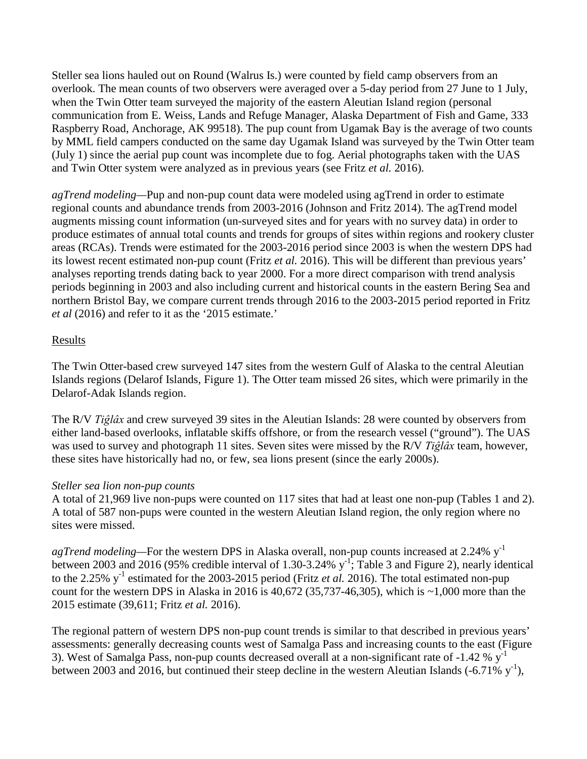Steller sea lions hauled out on Round (Walrus Is.) were counted by field camp observers from an overlook. The mean counts of two observers were averaged over a 5-day period from 27 June to 1 July, when the Twin Otter team surveyed the majority of the eastern Aleutian Island region (personal communication from E. Weiss, Lands and Refuge Manager, Alaska Department of Fish and Game, 333 Raspberry Road, Anchorage, AK 99518). The pup count from Ugamak Bay is the average of two counts by MML field campers conducted on the same day Ugamak Island was surveyed by the Twin Otter team (July 1) since the aerial pup count was incomplete due to fog. Aerial photographs taken with the UAS and Twin Otter system were analyzed as in previous years (see Fritz *et al.* 2016).

*agTrend modeling—*Pup and non-pup count data were modeled using agTrend in order to estimate regional counts and abundance trends from 2003-2016 (Johnson and Fritz 2014). The agTrend model augments missing count information (un-surveyed sites and for years with no survey data) in order to produce estimates of annual total counts and trends for groups of sites within regions and rookery cluster areas (RCAs). Trends were estimated for the 2003-2016 period since 2003 is when the western DPS had its lowest recent estimated non-pup count (Fritz *et al.* 2016). This will be different than previous years' analyses reporting trends dating back to year 2000. For a more direct comparison with trend analysis periods beginning in 2003 and also including current and historical counts in the eastern Bering Sea and northern Bristol Bay, we compare current trends through 2016 to the 2003-2015 period reported in Fritz *et al* (2016) and refer to it as the '2015 estimate.'

### Results

The Twin Otter-based crew surveyed 147 sites from the western Gulf of Alaska to the central Aleutian Islands regions (Delarof Islands, Figure 1). The Otter team missed 26 sites, which were primarily in the Delarof-Adak Islands region.

The R/V *Tiĝlâx* and crew surveyed 39 sites in the Aleutian Islands: 28 were counted by observers from either land-based overlooks, inflatable skiffs offshore, or from the research vessel ("ground"). The UAS was used to survey and photograph 11 sites. Seven sites were missed by the R/V *Tiĝlâx* team, however, these sites have historically had no, or few, sea lions present (since the early 2000s).

### *Steller sea lion non-pup counts*

A total of 21,969 live non-pups were counted on 117 sites that had at least one non-pup (Tables 1 and 2). A total of 587 non-pups were counted in the western Aleutian Island region, the only region where no sites were missed.

*agTrend modeling—*For the western DPS in Alaska overall, non-pup counts increased at 2.24% y-1 between 2003 and 2016 (95% credible interval of 1.30-3.24%  $y^{-1}$ ; Table 3 and Figure 2), nearly identical to the 2.25%  $y^{-1}$  estimated for the 2003-2015 period (Fritz *et al.* 2016). The total estimated non-pup count for the western DPS in Alaska in 2016 is  $40,672$  (35,737-46,305), which is  $\sim 1,000$  more than the 2015 estimate (39,611; Fritz *et al.* 2016).

The regional pattern of western DPS non-pup count trends is similar to that described in previous years' assessments: generally decreasing counts west of Samalga Pass and increasing counts to the east (Figure 3). West of Samalga Pass, non-pup counts decreased overall at a non-significant rate of  $-1.42 \%$  y<sup>-1</sup> between 2003 and 2016, but continued their steep decline in the western Aleutian Islands  $(-6.71\% \text{ y}^{-1})$ ,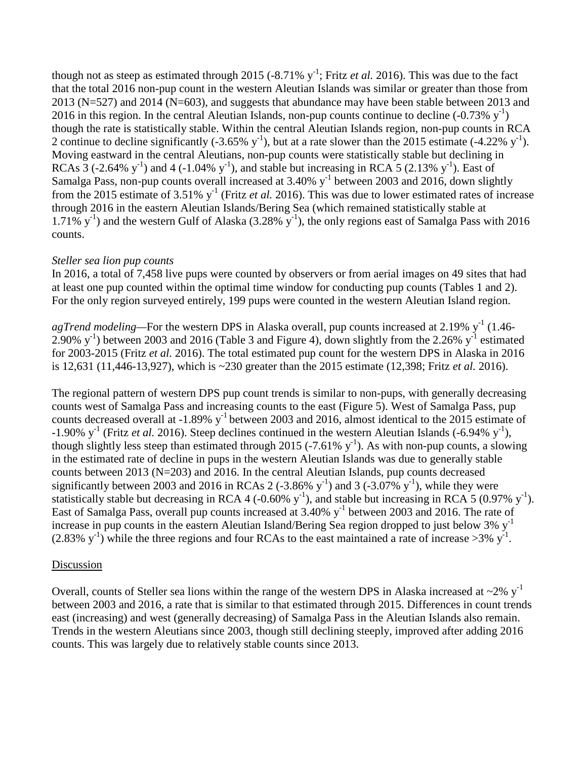though not as steep as estimated through 2015  $(-8.71\% \text{ y}^{-1})$ ; Fritz *et al.* 2016). This was due to the fact that the total 2016 non-pup count in the western Aleutian Islands was similar or greater than those from 2013 (N=527) and 2014 (N=603), and suggests that abundance may have been stable between 2013 and 2016 in this region. In the central Aleutian Islands, non-pup counts continue to decline  $(-0.73\% \text{ y}^{-1})$ though the rate is statistically stable. Within the central Aleutian Islands region, non-pup counts in RCA 2 continue to decline significantly (-3.65%  $y^{-1}$ ), but at a rate slower than the 2015 estimate (-4.22%  $y^{-1}$ ). Moving eastward in the central Aleutians, non-pup counts were statistically stable but declining in RCAs  $3$  (-2.64% y<sup>-1</sup>) and 4 (-1.04% y<sup>-1</sup>), and stable but increasing in RCA  $5$  (2.13% y<sup>-1</sup>). East of Samalga Pass, non-pup counts overall increased at 3.40% y<sup>-1</sup> between 2003 and 2016, down slightly from the 2015 estimate of 3.51%  $y^{-1}$  (Fritz *et al.* 2016). This was due to lower estimated rates of increase through 2016 in the eastern Aleutian Islands/Bering Sea (which remained statistically stable at 1.71%  $y^{-1}$ ) and the western Gulf of Alaska (3.28%  $y^{-1}$ ), the only regions east of Samalga Pass with 2016 counts.

### *Steller sea lion pup counts*

In 2016, a total of 7,458 live pups were counted by observers or from aerial images on 49 sites that had at least one pup counted within the optimal time window for conducting pup counts (Tables 1 and 2). For the only region surveyed entirely, 199 pups were counted in the western Aleutian Island region.

agTrend modeling—For the western DPS in Alaska overall, pup counts increased at 2.19% y<sup>-1</sup> (1.46-2.90%  $y^{-1}$ ) between 2003 and 2016 (Table 3 and Figure 4), down slightly from the 2.26%  $y^{-1}$  estimated for 2003-2015 (Fritz *et al.* 2016). The total estimated pup count for the western DPS in Alaska in 2016 is 12,631 (11,446-13,927), which is ~230 greater than the 2015 estimate (12,398; Fritz *et al.* 2016).

The regional pattern of western DPS pup count trends is similar to non-pups, with generally decreasing counts west of Samalga Pass and increasing counts to the east (Figure 5). West of Samalga Pass, pup counts decreased overall at -1.89% y<sup>-1</sup> between 2003 and 2016, almost identical to the 2015 estimate of  $-1.90\%$  y<sup>-1</sup> (Fritz *et al.* 2016). Steep declines continued in the western Aleutian Islands (-6.94% y<sup>-1</sup>), though slightly less steep than estimated through 2015 (-7.61%  $y^{-1}$ ). As with non-pup counts, a slowing in the estimated rate of decline in pups in the western Aleutian Islands was due to generally stable counts between 2013 (N=203) and 2016. In the central Aleutian Islands, pup counts decreased significantly between 2003 and 2016 in RCAs 2 (-3.86%  $y^{-1}$ ) and 3 (-3.07%  $y^{-1}$ ), while they were statistically stable but decreasing in RCA 4 (-0.60%  $y^{-1}$ ), and stable but increasing in RCA 5 (0.97%  $y^{-1}$ ). East of Samalga Pass, overall pup counts increased at 3.40% y<sup>-1</sup> between 2003 and 2016. The rate of increase in pup counts in the eastern Aleutian Island/Bering Sea region dropped to just below 3%  $y^{-1}$  $(2.83\% \text{ y}^{-1})$  while the three regions and four RCAs to the east maintained a rate of increase >3% y<sup>-1</sup>.

# Discussion

Overall, counts of Steller sea lions within the range of the western DPS in Alaska increased at  $\sim$ 2% y<sup>-1</sup> between 2003 and 2016, a rate that is similar to that estimated through 2015. Differences in count trends east (increasing) and west (generally decreasing) of Samalga Pass in the Aleutian Islands also remain. Trends in the western Aleutians since 2003, though still declining steeply, improved after adding 2016 counts. This was largely due to relatively stable counts since 2013.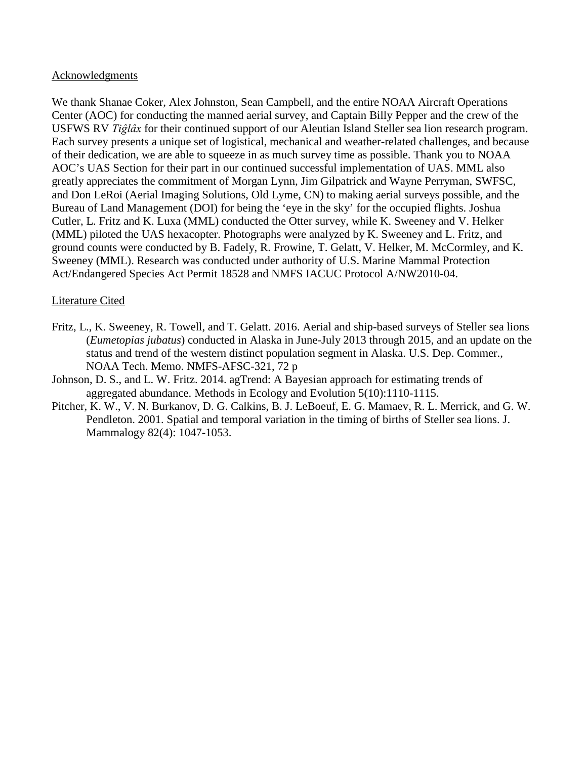#### Acknowledgments

We thank Shanae Coker, Alex Johnston, Sean Campbell, and the entire NOAA Aircraft Operations Center (AOC) for conducting the manned aerial survey, and Captain Billy Pepper and the crew of the USFWS RV *Tiĝlâx* for their continued support of our Aleutian Island Steller sea lion research program. Each survey presents a unique set of logistical, mechanical and weather-related challenges, and because of their dedication, we are able to squeeze in as much survey time as possible. Thank you to NOAA AOC's UAS Section for their part in our continued successful implementation of UAS. MML also greatly appreciates the commitment of Morgan Lynn, Jim Gilpatrick and Wayne Perryman, SWFSC, and Don LeRoi (Aerial Imaging Solutions, Old Lyme, CN) to making aerial surveys possible, and the Bureau of Land Management (DOI) for being the 'eye in the sky' for the occupied flights. Joshua Cutler, L. Fritz and K. Luxa (MML) conducted the Otter survey, while K. Sweeney and V. Helker (MML) piloted the UAS hexacopter. Photographs were analyzed by K. Sweeney and L. Fritz, and ground counts were conducted by B. Fadely, R. Frowine, T. Gelatt, V. Helker, M. McCormley, and K. Sweeney (MML). Research was conducted under authority of U.S. Marine Mammal Protection Act/Endangered Species Act Permit 18528 and NMFS IACUC Protocol A/NW2010-04.

### Literature Cited

- Fritz, L., K. Sweeney, R. Towell, and T. Gelatt. 2016. Aerial and ship-based surveys of Steller sea lions (*Eumetopias jubatus*) conducted in Alaska in June-July 2013 through 2015, and an update on the status and trend of the western distinct population segment in Alaska. U.S. Dep. Commer., NOAA Tech. Memo. NMFS-AFSC-321, 72 p
- Johnson, D. S., and L. W. Fritz. 2014. agTrend: A Bayesian approach for estimating trends of aggregated abundance. Methods in Ecology and Evolution 5(10):1110-1115.
- Pitcher, K. W., V. N. Burkanov, D. G. Calkins, B. J. LeBoeuf, E. G. Mamaev, R. L. Merrick, and G. W. Pendleton. 2001. Spatial and temporal variation in the timing of births of Steller sea lions. J. Mammalogy 82(4): 1047-1053.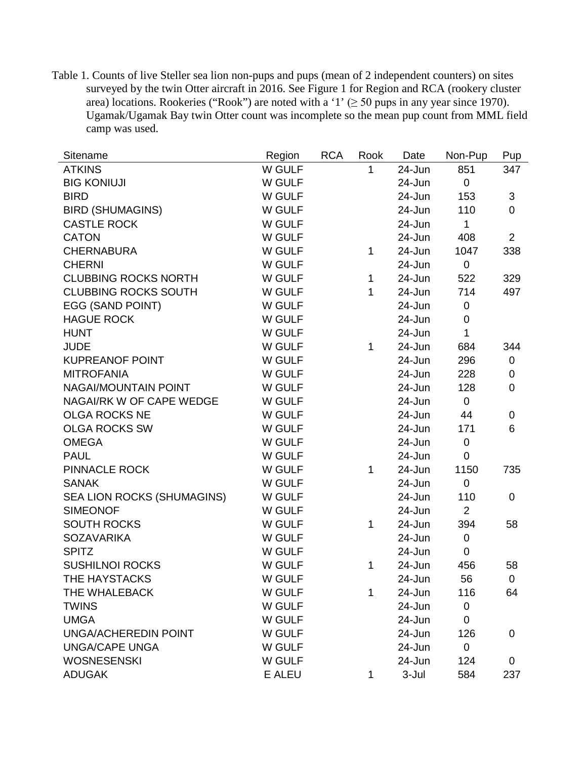Table 1. Counts of live Steller sea lion non-pups and pups (mean of 2 independent counters) on sites surveyed by the twin Otter aircraft in 2016. See Figure 1 for Region and RCA (rookery cluster area) locations. Rookeries ("Rook") are noted with a '1' ( $\geq$  50 pups in any year since 1970). Ugamak/Ugamak Bay twin Otter count was incomplete so the mean pup count from MML field camp was used.

| Sitename                    | Region | <b>RCA</b> | Rook | Date   | Non-Pup        | Pup              |
|-----------------------------|--------|------------|------|--------|----------------|------------------|
| <b>ATKINS</b>               | W GULF |            | 1    | 24-Jun | 851            | 347              |
| <b>BIG KONIUJI</b>          | W GULF |            |      | 24-Jun | $\overline{0}$ |                  |
| <b>BIRD</b>                 | W GULF |            |      | 24-Jun | 153            | 3                |
| <b>BIRD (SHUMAGINS)</b>     | W GULF |            |      | 24-Jun | 110            | $\mathbf 0$      |
| <b>CASTLE ROCK</b>          | W GULF |            |      | 24-Jun | $\mathbf{1}$   |                  |
| <b>CATON</b>                | W GULF |            |      | 24-Jun | 408            | $\overline{2}$   |
| <b>CHERNABURA</b>           | W GULF |            | 1    | 24-Jun | 1047           | 338              |
| <b>CHERNI</b>               | W GULF |            |      | 24-Jun | $\pmb{0}$      |                  |
| <b>CLUBBING ROCKS NORTH</b> | W GULF |            | 1    | 24-Jun | 522            | 329              |
| <b>CLUBBING ROCKS SOUTH</b> | W GULF |            | 1    | 24-Jun | 714            | 497              |
| EGG (SAND POINT)            | W GULF |            |      | 24-Jun | $\mathbf 0$    |                  |
| <b>HAGUE ROCK</b>           | W GULF |            |      | 24-Jun | $\pmb{0}$      |                  |
| <b>HUNT</b>                 | W GULF |            |      | 24-Jun | $\mathbf{1}$   |                  |
| <b>JUDE</b>                 | W GULF |            | 1    | 24-Jun | 684            | 344              |
| <b>KUPREANOF POINT</b>      | W GULF |            |      | 24-Jun | 296            | $\mathbf 0$      |
| <b>MITROFANIA</b>           | W GULF |            |      | 24-Jun | 228            | $\boldsymbol{0}$ |
| NAGAI/MOUNTAIN POINT        | W GULF |            |      | 24-Jun | 128            | $\mathbf 0$      |
| NAGAI/RK W OF CAPE WEDGE    | W GULF |            |      | 24-Jun | $\pmb{0}$      |                  |
| <b>OLGA ROCKS NE</b>        | W GULF |            |      | 24-Jun | 44             | $\boldsymbol{0}$ |
| <b>OLGA ROCKS SW</b>        | W GULF |            |      | 24-Jun | 171            | 6                |
| <b>OMEGA</b>                | W GULF |            |      | 24-Jun | $\mathbf 0$    |                  |
| <b>PAUL</b>                 | W GULF |            |      | 24-Jun | $\mathbf 0$    |                  |
| <b>PINNACLE ROCK</b>        | W GULF |            | 1    | 24-Jun | 1150           | 735              |
| <b>SANAK</b>                | W GULF |            |      | 24-Jun | $\mathbf 0$    |                  |
| SEA LION ROCKS (SHUMAGINS)  | W GULF |            |      | 24-Jun | 110            | $\mathbf 0$      |
| <b>SIMEONOF</b>             | W GULF |            |      | 24-Jun | 2              |                  |
| <b>SOUTH ROCKS</b>          | W GULF |            | 1    | 24-Jun | 394            | 58               |
| <b>SOZAVARIKA</b>           | W GULF |            |      | 24-Jun | $\mathbf 0$    |                  |
| <b>SPITZ</b>                | W GULF |            |      | 24-Jun | $\mathbf 0$    |                  |
| <b>SUSHILNOI ROCKS</b>      | W GULF |            | 1    | 24-Jun | 456            | 58               |
| THE HAYSTACKS               | W GULF |            |      | 24-Jun | 56             | $\overline{0}$   |
| THE WHALEBACK               | W GULF |            | 1    | 24-Jun | 116            | 64               |
| <b>TWINS</b>                | W GULF |            |      | 24-Jun | $\overline{0}$ |                  |
| <b>UMGA</b>                 | W GULF |            |      | 24-Jun | 0              |                  |
| <b>UNGA/ACHEREDIN POINT</b> | W GULF |            |      | 24-Jun | 126            | $\mathbf 0$      |
| <b>UNGA/CAPE UNGA</b>       | W GULF |            |      | 24-Jun | $\mathbf 0$    |                  |
| <b>WOSNESENSKI</b>          | W GULF |            |      | 24-Jun | 124            | $\mathbf 0$      |
| <b>ADUGAK</b>               | E ALEU |            | 1    | 3-Jul  | 584            | 237              |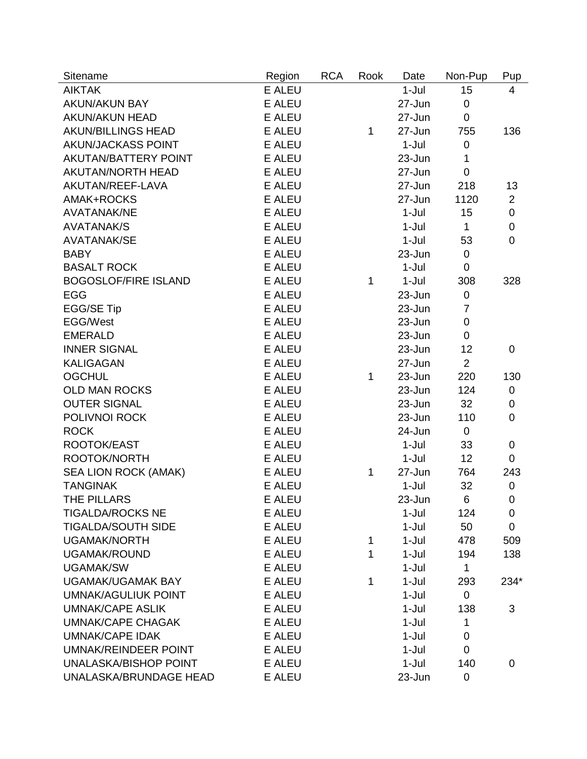| Sitename                     | Region        | <b>RCA</b> | Rook | Date    | Non-Pup        | Pup            |
|------------------------------|---------------|------------|------|---------|----------------|----------------|
| <b>AIKTAK</b>                | <b>E ALEU</b> |            |      | $1-Jul$ | 15             | 4              |
| <b>AKUN/AKUN BAY</b>         | <b>E ALEU</b> |            |      | 27-Jun  | $\pmb{0}$      |                |
| <b>AKUN/AKUN HEAD</b>        | <b>E ALEU</b> |            |      | 27-Jun  | $\mathbf 0$    |                |
| <b>AKUN/BILLINGS HEAD</b>    | <b>E ALEU</b> |            | 1    | 27-Jun  | 755            | 136            |
| AKUN/JACKASS POINT           | <b>E ALEU</b> |            |      | $1-Jul$ | $\pmb{0}$      |                |
| AKUTAN/BATTERY POINT         | <b>E ALEU</b> |            |      | 23-Jun  | 1              |                |
| <b>AKUTAN/NORTH HEAD</b>     | E ALEU        |            |      | 27-Jun  | $\mathbf 0$    |                |
| AKUTAN/REEF-LAVA             | <b>E ALEU</b> |            |      | 27-Jun  | 218            | 13             |
| AMAK+ROCKS                   | <b>E ALEU</b> |            |      | 27-Jun  | 1120           | $\overline{2}$ |
| <b>AVATANAK/NE</b>           | <b>E ALEU</b> |            |      | $1-Jul$ | 15             | $\mathbf 0$    |
| <b>AVATANAK/S</b>            | <b>E ALEU</b> |            |      | $1-Jul$ | $\mathbf{1}$   | $\mathbf 0$    |
| <b>AVATANAK/SE</b>           | <b>E ALEU</b> |            |      | $1-Jul$ | 53             | $\mathbf 0$    |
| <b>BABY</b>                  | <b>E ALEU</b> |            |      | 23-Jun  | 0              |                |
| <b>BASALT ROCK</b>           | <b>E ALEU</b> |            |      | $1-Jul$ | $\mathbf 0$    |                |
| <b>BOGOSLOF/FIRE ISLAND</b>  | <b>E ALEU</b> |            | 1    | $1-Jul$ | 308            | 328            |
| <b>EGG</b>                   | <b>E ALEU</b> |            |      | 23-Jun  | 0              |                |
| <b>EGG/SE Tip</b>            | <b>E ALEU</b> |            |      | 23-Jun  | $\overline{7}$ |                |
| <b>EGG/West</b>              | <b>E ALEU</b> |            |      | 23-Jun  | $\pmb{0}$      |                |
| <b>EMERALD</b>               | <b>E ALEU</b> |            |      | 23-Jun  | 0              |                |
| <b>INNER SIGNAL</b>          | <b>E ALEU</b> |            |      | 23-Jun  | 12             | $\mathbf 0$    |
| <b>KALIGAGAN</b>             | <b>E ALEU</b> |            |      | 27-Jun  | $\overline{2}$ |                |
| <b>OGCHUL</b>                | <b>E ALEU</b> |            | 1    | 23-Jun  | 220            | 130            |
| <b>OLD MAN ROCKS</b>         | E ALEU        |            |      | 23-Jun  | 124            | $\pmb{0}$      |
| <b>OUTER SIGNAL</b>          | <b>E ALEU</b> |            |      | 23-Jun  | 32             | 0              |
| POLIVNOI ROCK                | <b>E ALEU</b> |            |      | 23-Jun  | 110            | $\overline{0}$ |
| <b>ROCK</b>                  | <b>E ALEU</b> |            |      | 24-Jun  | $\mathbf 0$    |                |
| ROOTOK/EAST                  | <b>E ALEU</b> |            |      | $1-Jul$ | 33             | 0              |
| ROOTOK/NORTH                 | <b>E ALEU</b> |            |      | $1-Jul$ | 12             | 0              |
| <b>SEA LION ROCK (AMAK)</b>  | E ALEU        |            | 1    | 27-Jun  | 764            | 243            |
| <b>TANGINAK</b>              | <b>E ALEU</b> |            |      | $1-Jul$ | 32             | $\mathbf 0$    |
| THE PILLARS                  | E ALEU        |            |      | 23-Jun  | 6              | 0              |
| <b>TIGALDA/ROCKS NE</b>      | <b>E ALEU</b> |            |      | 1-Jul   | 124            | 0              |
| <b>TIGALDA/SOUTH SIDE</b>    | <b>E ALEU</b> |            |      | $1-Jul$ | 50             | $\mathbf 0$    |
| <b>UGAMAK/NORTH</b>          | <b>E ALEU</b> |            | 1    | $1-Jul$ | 478            | 509            |
| <b>UGAMAK/ROUND</b>          | <b>E ALEU</b> |            | 1    | 1-Jul   | 194            | 138            |
| <b>UGAMAK/SW</b>             | <b>E ALEU</b> |            |      | 1-Jul   | $\mathbf{1}$   |                |
| <b>UGAMAK/UGAMAK BAY</b>     | <b>E ALEU</b> |            | 1    | $1-Jul$ | 293            | 234*           |
| <b>UMNAK/AGULIUK POINT</b>   | <b>E ALEU</b> |            |      | $1-Jul$ | $\mathbf 0$    |                |
| <b>UMNAK/CAPE ASLIK</b>      | <b>E ALEU</b> |            |      | 1-Jul   | 138            | 3              |
| <b>UMNAK/CAPE CHAGAK</b>     | <b>E ALEU</b> |            |      | 1-Jul   | 1              |                |
| <b>UMNAK/CAPE IDAK</b>       | <b>E ALEU</b> |            |      | 1-Jul   | $\overline{0}$ |                |
| <b>UMNAK/REINDEER POINT</b>  | <b>E ALEU</b> |            |      | $1-Jul$ | $\mathbf 0$    |                |
| <b>UNALASKA/BISHOP POINT</b> | <b>E ALEU</b> |            |      | $1-Jul$ | 140            | 0              |
| UNALASKA/BRUNDAGE HEAD       | E ALEU        |            |      | 23-Jun  | $\pmb{0}$      |                |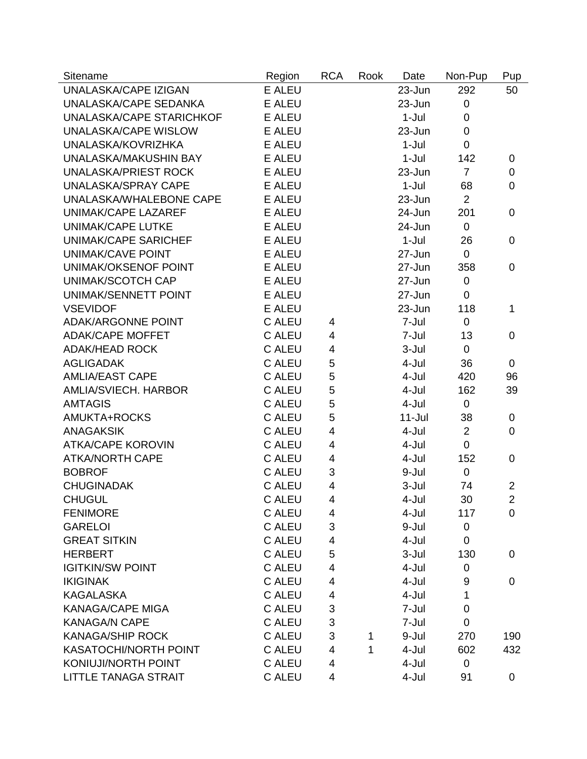| Sitename                     | Region        | <b>RCA</b> | Rook | Date       | Non-Pup        | Pup            |
|------------------------------|---------------|------------|------|------------|----------------|----------------|
| UNALASKA/CAPE IZIGAN         | <b>E ALEU</b> |            |      | 23-Jun     | 292            | 50             |
| UNALASKA/CAPE SEDANKA        | E ALEU        |            |      | 23-Jun     | 0              |                |
| UNALASKA/CAPE STARICHKOF     | <b>E ALEU</b> |            |      | $1-Jul$    | 0              |                |
| <b>UNALASKA/CAPE WISLOW</b>  | <b>E ALEU</b> |            |      | 23-Jun     | $\mathbf 0$    |                |
| UNALASKA/KOVRIZHKA           | <b>E ALEU</b> |            |      | $1-Jul$    | $\Omega$       |                |
| UNALASKA/MAKUSHIN BAY        | <b>E ALEU</b> |            |      | $1-Jul$    | 142            | 0              |
| <b>UNALASKA/PRIEST ROCK</b>  | E ALEU        |            |      | $23 - Jun$ | $\overline{7}$ | $\mathbf 0$    |
| <b>UNALASKA/SPRAY CAPE</b>   | <b>E ALEU</b> |            |      | $1-Jul$    | 68             | $\overline{0}$ |
| UNALASKA/WHALEBONE CAPE      | <b>E ALEU</b> |            |      | 23-Jun     | $\overline{2}$ |                |
| UNIMAK/CAPE LAZAREF          | <b>E ALEU</b> |            |      | 24-Jun     | 201            | $\mathbf 0$    |
| <b>UNIMAK/CAPE LUTKE</b>     | <b>E ALEU</b> |            |      | 24-Jun     | $\mathbf 0$    |                |
| <b>UNIMAK/CAPE SARICHEF</b>  | E ALEU        |            |      | $1-Jul$    | 26             | $\overline{0}$ |
| UNIMAK/CAVE POINT            | <b>E ALEU</b> |            |      | 27-Jun     | $\mathbf 0$    |                |
| UNIMAK/OKSENOF POINT         | <b>E ALEU</b> |            |      | 27-Jun     | 358            | $\overline{0}$ |
| UNIMAK/SCOTCH CAP            | <b>E ALEU</b> |            |      | $27 - Jun$ | $\pmb{0}$      |                |
| UNIMAK/SENNETT POINT         | <b>E ALEU</b> |            |      | 27-Jun     | 0              |                |
| <b>VSEVIDOF</b>              | <b>E ALEU</b> |            |      | 23-Jun     | 118            | $\mathbf{1}$   |
| <b>ADAK/ARGONNE POINT</b>    | <b>C ALEU</b> | 4          |      | 7-Jul      | $\mathbf 0$    |                |
| <b>ADAK/CAPE MOFFET</b>      | <b>C ALEU</b> | 4          |      | 7-Jul      | 13             | $\overline{0}$ |
| <b>ADAK/HEAD ROCK</b>        | <b>C ALEU</b> | 4          |      | 3-Jul      | $\mathbf 0$    |                |
| <b>AGLIGADAK</b>             | <b>C ALEU</b> | 5          |      | 4-Jul      | 36             | $\overline{0}$ |
| <b>AMLIA/EAST CAPE</b>       | <b>C ALEU</b> | 5          |      | 4-Jul      | 420            | 96             |
| AMLIA/SVIECH. HARBOR         | <b>C ALEU</b> | 5          |      | 4-Jul      | 162            | 39             |
| <b>AMTAGIS</b>               | <b>C ALEU</b> | 5          |      | 4-Jul      | 0              |                |
| AMUKTA+ROCKS                 | <b>C ALEU</b> | 5          |      | $11 -$ Jul | 38             | 0              |
| <b>ANAGAKSIK</b>             | <b>C ALEU</b> | 4          |      | 4-Jul      | $\overline{2}$ | $\mathbf 0$    |
| <b>ATKA/CAPE KOROVIN</b>     | <b>C ALEU</b> | 4          |      | 4-Jul      | $\overline{0}$ |                |
| <b>ATKA/NORTH CAPE</b>       | C ALEU        | 4          |      | 4-Jul      | 152            | $\overline{0}$ |
| <b>BOBROF</b>                | <b>C ALEU</b> | 3          |      | 9-Jul      | $\mathbf 0$    |                |
| <b>CHUGINADAK</b>            | <b>C ALEU</b> | 4          |      | 3-Jul      | 74             | $\overline{2}$ |
| <b>CHUGUL</b>                | C ALEU        | 4          |      | 4-Jul      | 30             | $\overline{2}$ |
| <b>FENIMORE</b>              | <b>C ALEU</b> | 4          |      | 4-Jul      | 117            | 0              |
| <b>GARELOI</b>               | C ALEU        | 3          |      | 9-Jul      | 0              |                |
| <b>GREAT SITKIN</b>          | <b>C ALEU</b> | 4          |      | 4-Jul      | $\mathbf 0$    |                |
| <b>HERBERT</b>               | <b>C ALEU</b> | 5          |      | 3-Jul      | 130            | 0              |
| <b>IGITKIN/SW POINT</b>      | <b>C ALEU</b> | 4          |      | 4-Jul      | 0              |                |
| <b>IKIGINAK</b>              | C ALEU        | 4          |      | 4-Jul      | 9              | $\mathbf 0$    |
| <b>KAGALASKA</b>             | C ALEU        | 4          |      | 4-Jul      | 1              |                |
| <b>KANAGA/CAPE MIGA</b>      | C ALEU        | 3          |      | 7-Jul      | 0              |                |
| <b>KANAGA/N CAPE</b>         | <b>C ALEU</b> | 3          |      | 7-Jul      | 0              |                |
| <b>KANAGA/SHIP ROCK</b>      | <b>C ALEU</b> | 3          | 1    | 9-Jul      | 270            | 190            |
| <b>KASATOCHI/NORTH POINT</b> | <b>C ALEU</b> | 4          | 1    | 4-Jul      | 602            | 432            |
| KONIUJI/NORTH POINT          | <b>C ALEU</b> | 4          |      | 4-Jul      | 0              |                |
| <b>LITTLE TANAGA STRAIT</b>  | <b>C ALEU</b> | 4          |      | 4-Jul      | 91             | 0              |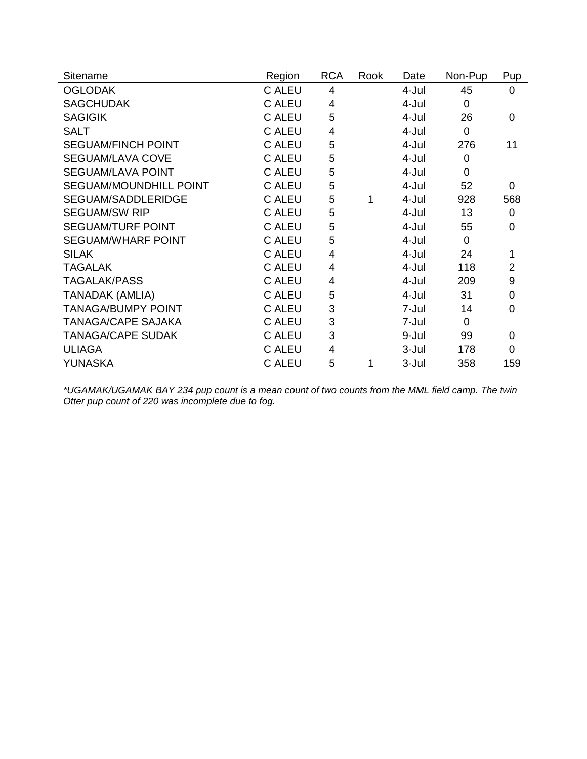| Sitename                      | Region        | <b>RCA</b> | Rook | Date  | Non-Pup  | Pup            |
|-------------------------------|---------------|------------|------|-------|----------|----------------|
| <b>OGLODAK</b>                | C ALEU        | 4          |      | 4-Jul | 45       | 0              |
| <b>SAGCHUDAK</b>              | <b>C ALEU</b> | 4          |      | 4-Jul | $\Omega$ |                |
| <b>SAGIGIK</b>                | <b>C ALEU</b> | 5          |      | 4-Jul | 26       | 0              |
| <b>SALT</b>                   | C ALEU        | 4          |      | 4-Jul | $\Omega$ |                |
| <b>SEGUAM/FINCH POINT</b>     | <b>C ALEU</b> | 5          |      | 4-Jul | 276      | 11             |
| <b>SEGUAM/LAVA COVE</b>       | <b>C ALEU</b> | 5          |      | 4-Jul | 0        |                |
| <b>SEGUAM/LAVA POINT</b>      | <b>C ALEU</b> | 5          |      | 4-Jul | $\Omega$ |                |
| <b>SEGUAM/MOUNDHILL POINT</b> | <b>C ALEU</b> | 5          |      | 4-Jul | 52       | 0              |
| SEGUAM/SADDLERIDGE            | <b>C ALEU</b> | 5          | 1    | 4-Jul | 928      | 568            |
| <b>SEGUAM/SW RIP</b>          | <b>C ALEU</b> | 5          |      | 4-Jul | 13       | $\mathbf 0$    |
| <b>SEGUAM/TURF POINT</b>      | <b>C ALEU</b> | 5          |      | 4-Jul | 55       | 0              |
| <b>SEGUAM/WHARF POINT</b>     | <b>C ALEU</b> | 5          |      | 4-Jul | $\Omega$ |                |
| <b>SILAK</b>                  | <b>C ALEU</b> | 4          |      | 4-Jul | 24       | 1              |
| <b>TAGALAK</b>                | <b>C ALEU</b> | 4          |      | 4-Jul | 118      | $\overline{2}$ |
| <b>TAGALAK/PASS</b>           | <b>C ALEU</b> | 4          |      | 4-Jul | 209      | 9              |
| <b>TANADAK (AMLIA)</b>        | <b>C ALEU</b> | 5          |      | 4-Jul | 31       | $\mathbf 0$    |
| <b>TANAGA/BUMPY POINT</b>     | <b>C ALEU</b> | 3          |      | 7-Jul | 14       | $\overline{0}$ |
| <b>TANAGA/CAPE SAJAKA</b>     | <b>C ALEU</b> | 3          |      | 7-Jul | $\Omega$ |                |
| <b>TANAGA/CAPE SUDAK</b>      | <b>C ALEU</b> | 3          |      | 9-Jul | 99       | $\mathbf 0$    |
| <b>ULIAGA</b>                 | <b>C ALEU</b> | 4          |      | 3-Jul | 178      | 0              |
| YUNASKA                       | <b>C ALEU</b> | 5          | 1    | 3-Jul | 358      | 159            |

*\*UGAMAK/UGAMAK BAY 234 pup count is a mean count of two counts from the MML field camp. The twin Otter pup count of 220 was incomplete due to fog.*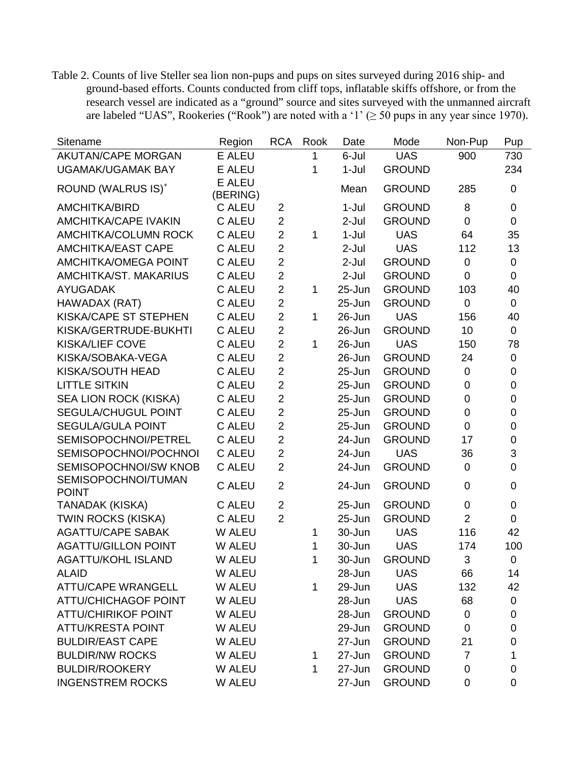Table 2. Counts of live Steller sea lion non-pups and pups on sites surveyed during 2016 ship- and ground-based efforts. Counts conducted from cliff tops, inflatable skiffs offshore, or from the research vessel are indicated as a "ground" source and sites surveyed with the unmanned aircraft are labeled "UAS", Rookeries ("Rook") are noted with a '1' ( $\geq$  50 pups in any year since 1970).

| Sitename                            | Region                    | <b>RCA</b>     | Rook         | Date       | Mode          | Non-Pup        | Pup                       |
|-------------------------------------|---------------------------|----------------|--------------|------------|---------------|----------------|---------------------------|
| <b>AKUTAN/CAPE MORGAN</b>           | E ALEU                    |                | 1            | 6-Jul      | <b>UAS</b>    | 900            | 730                       |
| <b>UGAMAK/UGAMAK BAY</b>            | <b>E ALEU</b>             |                | 1            | $1-Jul$    | <b>GROUND</b> |                | 234                       |
| ROUND (WALRUS IS) <sup>+</sup>      | <b>E ALEU</b><br>(BERING) |                |              | Mean       | <b>GROUND</b> | 285            | $\mathbf 0$               |
| <b>AMCHITKA/BIRD</b>                | <b>C ALEU</b>             | $\overline{2}$ |              | $1-Jul$    | <b>GROUND</b> | 8              | $\pmb{0}$                 |
| <b>AMCHITKA/CAPE IVAKIN</b>         | <b>C ALEU</b>             | $\overline{2}$ |              | $2-Jul$    | <b>GROUND</b> | $\overline{0}$ | $\mathbf 0$               |
| <b>AMCHITKA/COLUMN ROCK</b>         | C ALEU                    | $\overline{2}$ | $\mathbf{1}$ | $1-Jul$    | <b>UAS</b>    | 64             | 35                        |
| <b>AMCHITKA/EAST CAPE</b>           | <b>C ALEU</b>             | $\overline{2}$ |              | $2-Jul$    | <b>UAS</b>    | 112            | 13                        |
| <b>AMCHITKA/OMEGA POINT</b>         | <b>C ALEU</b>             | $\overline{2}$ |              | $2-Jul$    | <b>GROUND</b> | $\pmb{0}$      | $\pmb{0}$                 |
| AMCHITKA/ST. MAKARIUS               | <b>C ALEU</b>             | $\overline{2}$ |              | $2-Jul$    | <b>GROUND</b> | $\overline{0}$ | $\mathbf 0$               |
| <b>AYUGADAK</b>                     | <b>C ALEU</b>             | $\overline{2}$ | 1            | $25 - Jun$ | <b>GROUND</b> | 103            | 40                        |
| HAWADAX (RAT)                       | <b>C ALEU</b>             | $\overline{2}$ |              | $25 - Jun$ | <b>GROUND</b> | $\mathbf 0$    | $\mathbf 0$               |
| <b>KISKA/CAPE ST STEPHEN</b>        | C ALEU                    | $\overline{2}$ | $\mathbf{1}$ | 26-Jun     | <b>UAS</b>    | 156            | 40                        |
| KISKA/GERTRUDE-BUKHTI               | <b>C ALEU</b>             | $\overline{2}$ |              | 26-Jun     | <b>GROUND</b> | 10             | $\mathbf 0$               |
| <b>KISKA/LIEF COVE</b>              | <b>C ALEU</b>             | $\overline{2}$ | $\mathbf{1}$ | 26-Jun     | <b>UAS</b>    | 150            | 78                        |
| KISKA/SOBAKA-VEGA                   | <b>C ALEU</b>             | $\overline{2}$ |              | $26 - Jun$ | <b>GROUND</b> | 24             | $\pmb{0}$                 |
| KISKA/SOUTH HEAD                    | <b>C ALEU</b>             | $\overline{2}$ |              | $25 - Jun$ | <b>GROUND</b> | $\mathbf 0$    | $\mathbf 0$               |
| <b>LITTLE SITKIN</b>                | C ALEU                    | $\overline{2}$ |              | $25 - Jun$ | <b>GROUND</b> | 0              | $\boldsymbol{0}$          |
| SEA LION ROCK (KISKA)               | <b>C ALEU</b>             | $\overline{2}$ |              | $25 - Jun$ | <b>GROUND</b> | 0              | $\boldsymbol{0}$          |
| SEGULA/CHUGUL POINT                 | <b>C ALEU</b>             | $\overline{2}$ |              | 25-Jun     | <b>GROUND</b> | 0              | $\mathbf 0$               |
| <b>SEGULA/GULA POINT</b>            | <b>C ALEU</b>             | $\overline{2}$ |              | $25 - Jun$ | <b>GROUND</b> | $\overline{0}$ | $\mathbf 0$               |
| SEMISOPOCHNOI/PETREL                | <b>C ALEU</b>             | $\overline{2}$ |              | 24-Jun     | <b>GROUND</b> | 17             | $\mathsf 0$               |
| SEMISOPOCHNOI/POCHNOI               | C ALEU                    | $\overline{2}$ |              | 24-Jun     | <b>UAS</b>    | 36             | $\ensuremath{\mathsf{3}}$ |
| SEMISOPOCHNOI/SW KNOB               | <b>C ALEU</b>             | $\overline{2}$ |              | 24-Jun     | <b>GROUND</b> | $\mathbf 0$    | $\mathsf 0$               |
| SEMISOPOCHNOI/TUMAN<br><b>POINT</b> | <b>C ALEU</b>             | $\overline{2}$ |              | 24-Jun     | <b>GROUND</b> | $\overline{0}$ | $\mathbf 0$               |
| TANADAK (KISKA)                     | <b>C ALEU</b>             | $\overline{2}$ |              | $25 - Jun$ | <b>GROUND</b> | 0              | $\mathbf 0$               |
| <b>TWIN ROCKS (KISKA)</b>           | C ALEU                    | $\overline{2}$ |              | $25 - Jun$ | <b>GROUND</b> | $\overline{2}$ | $\mathbf 0$               |
| <b>AGATTU/CAPE SABAK</b>            | W ALEU                    |                | 1            | 30-Jun     | <b>UAS</b>    | 116            | 42                        |
| <b>AGATTU/GILLON POINT</b>          | W ALEU                    |                | 1            | 30-Jun     | <b>UAS</b>    | 174            | 100                       |
| <b>AGATTU/KOHL ISLAND</b>           | W ALEU                    |                | 1            | 30-Jun     | <b>GROUND</b> | 3              | $\mathbf 0$               |
| <b>ALAID</b>                        | W ALEU                    |                |              | 28-Jun     | <b>UAS</b>    | 66             | 14                        |
| <b>ATTU/CAPE WRANGELL</b>           | W ALEU                    |                | 1            | 29-Jun     | <b>UAS</b>    | 132            | 42                        |
| <b>ATTU/CHICHAGOF POINT</b>         | W ALEU                    |                |              | 28-Jun     | <b>UAS</b>    | 68             | 0                         |
| <b>ATTU/CHIRIKOF POINT</b>          | W ALEU                    |                |              | 28-Jun     | <b>GROUND</b> | 0              | $\pmb{0}$                 |
| <b>ATTU/KRESTA POINT</b>            | W ALEU                    |                |              | 29-Jun     | <b>GROUND</b> | 0              | 0                         |
| <b>BULDIR/EAST CAPE</b>             | W ALEU                    |                |              | 27-Jun     | <b>GROUND</b> | 21             | $\mathbf 0$               |
| <b>BULDIR/NW ROCKS</b>              | W ALEU                    |                | 1            | 27-Jun     | <b>GROUND</b> | $\overline{7}$ | 1                         |
| <b>BULDIR/ROOKERY</b>               | W ALEU                    |                | 1            | 27-Jun     | <b>GROUND</b> | 0              | $\pmb{0}$                 |
| <b>INGENSTREM ROCKS</b>             | W ALEU                    |                |              | 27-Jun     | <b>GROUND</b> | 0              | 0                         |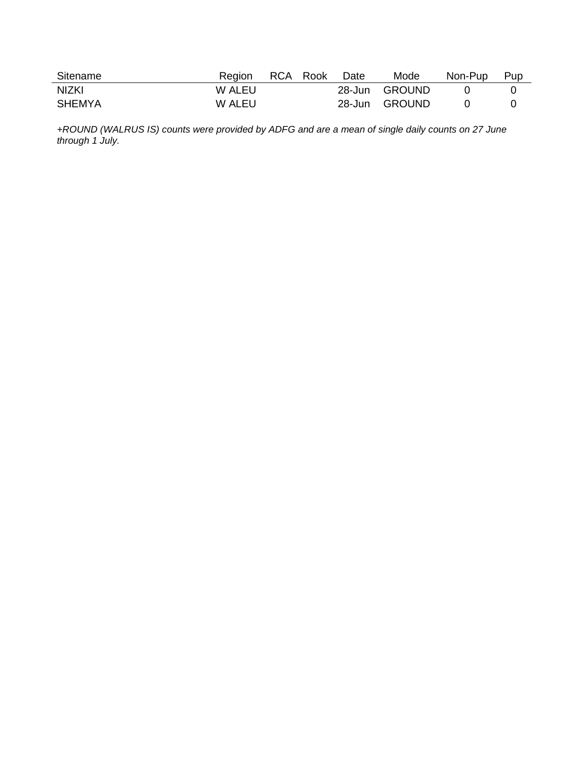| Sitename      | Region | RCA Rook | Date | Mode          | Non-Pup | Pup |
|---------------|--------|----------|------|---------------|---------|-----|
| <b>NIZKI</b>  | W ALEU |          |      | 28-Jun GROUND |         |     |
| <b>SHEMYA</b> | W ALEU |          |      | 28-Jun GROUND |         |     |

*+ROUND (WALRUS IS) counts were provided by ADFG and are a mean of single daily counts on 27 June through 1 July.*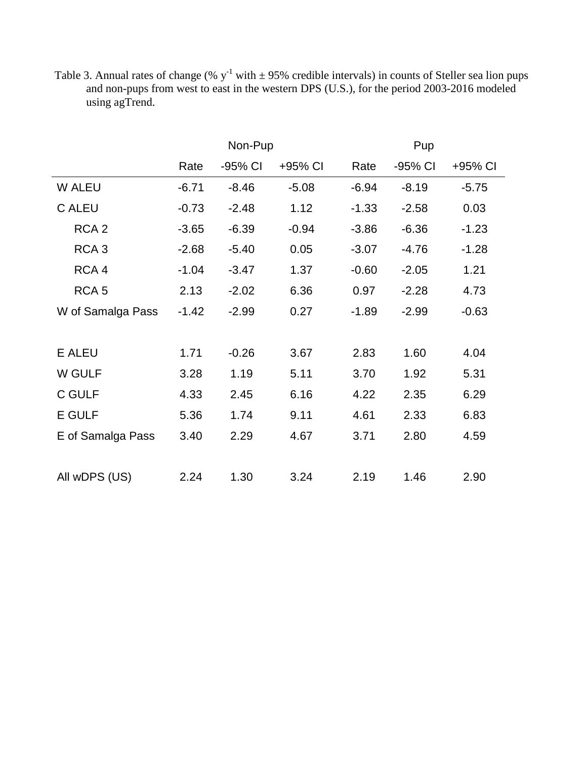Table 3. Annual rates of change (%  $y^{-1}$  with  $\pm$  95% credible intervals) in counts of Steller sea lion pups and non-pups from west to east in the western DPS (U.S.), for the period 2003-2016 modeled using agTrend.

|                   |         | Non-Pup |         |         | Pup     |         |  |  |  |
|-------------------|---------|---------|---------|---------|---------|---------|--|--|--|
|                   | Rate    | -95% CI | +95% CI | Rate    | -95% CI | +95% CI |  |  |  |
| W ALEU            | $-6.71$ | $-8.46$ | $-5.08$ | $-6.94$ | $-8.19$ | $-5.75$ |  |  |  |
| <b>C ALEU</b>     | $-0.73$ | $-2.48$ | 1.12    | $-1.33$ | $-2.58$ | 0.03    |  |  |  |
| RCA <sub>2</sub>  | $-3.65$ | $-6.39$ | $-0.94$ | $-3.86$ | $-6.36$ | $-1.23$ |  |  |  |
| RCA <sub>3</sub>  | $-2.68$ | $-5.40$ | 0.05    | $-3.07$ | $-4.76$ | $-1.28$ |  |  |  |
| RCA 4             | $-1.04$ | $-3.47$ | 1.37    | $-0.60$ | $-2.05$ | 1.21    |  |  |  |
| RCA <sub>5</sub>  | 2.13    | $-2.02$ | 6.36    | 0.97    | $-2.28$ | 4.73    |  |  |  |
| W of Samalga Pass | $-1.42$ | $-2.99$ | 0.27    | $-1.89$ | $-2.99$ | $-0.63$ |  |  |  |
|                   |         |         |         |         |         |         |  |  |  |
| <b>E ALEU</b>     | 1.71    | $-0.26$ | 3.67    | 2.83    | 1.60    | 4.04    |  |  |  |
| W GULF            | 3.28    | 1.19    | 5.11    | 3.70    | 1.92    | 5.31    |  |  |  |
| C GULF            | 4.33    | 2.45    | 6.16    | 4.22    | 2.35    | 6.29    |  |  |  |
| <b>E GULF</b>     | 5.36    | 1.74    | 9.11    | 4.61    | 2.33    | 6.83    |  |  |  |
| E of Samalga Pass | 3.40    | 2.29    | 4.67    | 3.71    | 2.80    | 4.59    |  |  |  |
|                   |         |         |         |         |         |         |  |  |  |
| All wDPS (US)     | 2.24    | 1.30    | 3.24    | 2.19    | 1.46    | 2.90    |  |  |  |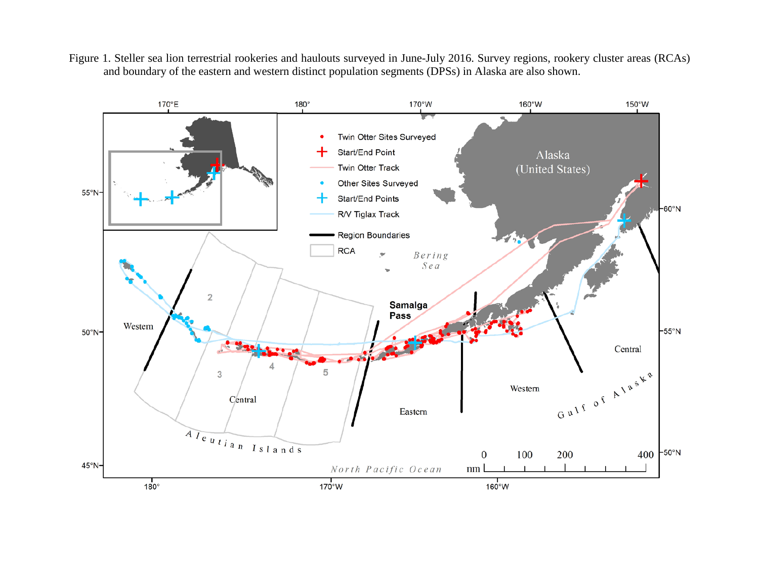Figure 1. Steller sea lion terrestrial rookeries and haulouts surveyed in June-July 2016. Survey regions, rookery cluster areas (RCAs) and boundary of the eastern and western distinct population segments (DPSs) in Alaska are also shown.

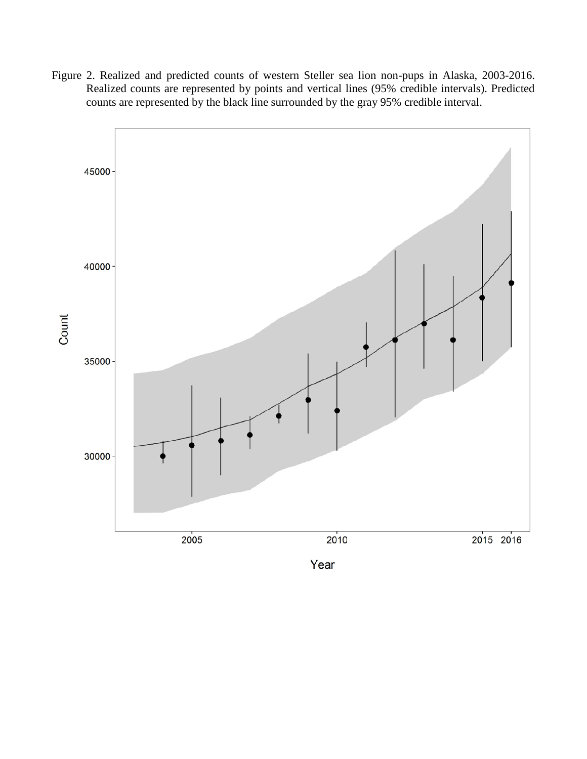Figure 2. Realized and predicted counts of western Steller sea lion non-pups in Alaska, 2003-2016. Realized counts are represented by points and vertical lines (95% credible intervals). Predicted counts are represented by the black line surrounded by the gray 95% credible interval.

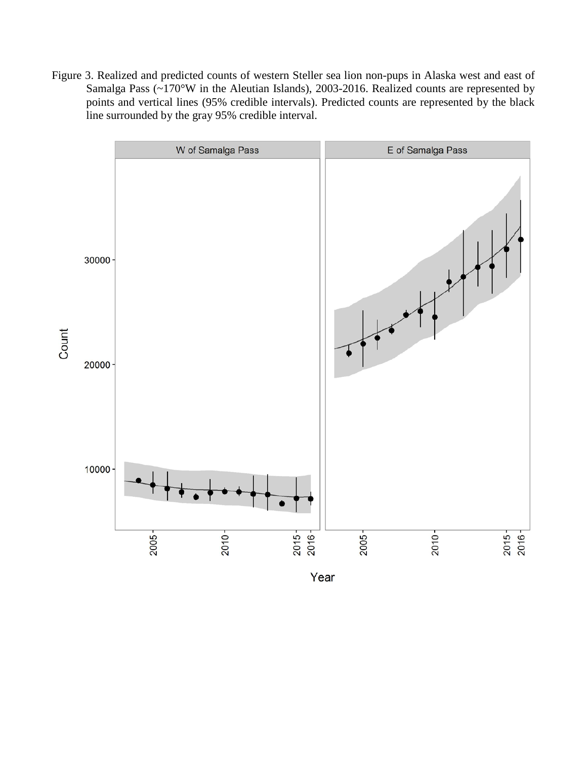Figure 3. Realized and predicted counts of western Steller sea lion non-pups in Alaska west and east of Samalga Pass (~170°W in the Aleutian Islands), 2003-2016. Realized counts are represented by points and vertical lines (95% credible intervals). Predicted counts are represented by the black line surrounded by the gray 95% credible interval.

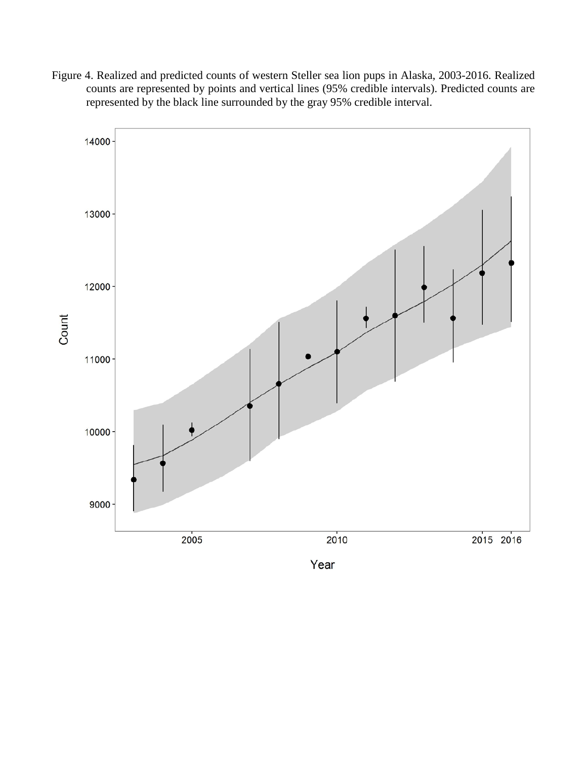Figure 4. Realized and predicted counts of western Steller sea lion pups in Alaska, 2003-2016. Realized counts are represented by points and vertical lines (95% credible intervals). Predicted counts are represented by the black line surrounded by the gray 95% credible interval.